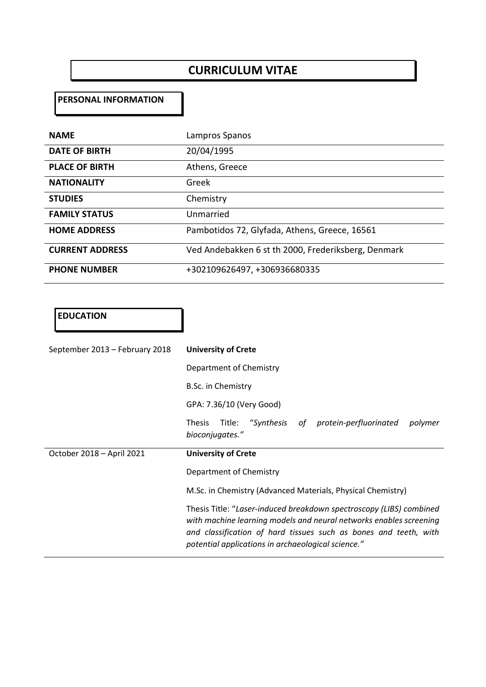# **CURRICULUM VITAE**

### **PERSONAL INFORMATION**

| <b>NAME</b>            | Lampros Spanos                                      |
|------------------------|-----------------------------------------------------|
| <b>DATE OF BIRTH</b>   | 20/04/1995                                          |
| <b>PLACE OF BIRTH</b>  | Athens, Greece                                      |
| <b>NATIONALITY</b>     | Greek                                               |
| <b>STUDIES</b>         | Chemistry                                           |
| <b>FAMILY STATUS</b>   | Unmarried                                           |
| <b>HOME ADDRESS</b>    | Pambotidos 72, Glyfada, Athens, Greece, 16561       |
| <b>CURRENT ADDRESS</b> | Ved Andebakken 6 st th 2000, Frederiksberg, Denmark |
| <b>PHONE NUMBER</b>    | +302109626497, +306936680335                        |

| <b>EDUCATION</b>               |                                                                                                                                                                                                                                                                     |
|--------------------------------|---------------------------------------------------------------------------------------------------------------------------------------------------------------------------------------------------------------------------------------------------------------------|
| September 2013 - February 2018 | <b>University of Crete</b>                                                                                                                                                                                                                                          |
|                                | Department of Chemistry                                                                                                                                                                                                                                             |
|                                | B.Sc. in Chemistry                                                                                                                                                                                                                                                  |
|                                | GPA: 7.36/10 (Very Good)                                                                                                                                                                                                                                            |
|                                | <b>Thesis</b><br>Title:<br>"Synthesis of<br>protein-perfluorinated<br>polymer<br>bioconjugates."                                                                                                                                                                    |
| October 2018 - April 2021      | <b>University of Crete</b>                                                                                                                                                                                                                                          |
|                                | Department of Chemistry                                                                                                                                                                                                                                             |
|                                | M.Sc. in Chemistry (Advanced Materials, Physical Chemistry)                                                                                                                                                                                                         |
|                                | Thesis Title: "Laser-induced breakdown spectroscopy (LIBS) combined<br>with machine learning models and neural networks enables screening<br>and classification of hard tissues such as bones and teeth, with<br>potential applications in archaeological science." |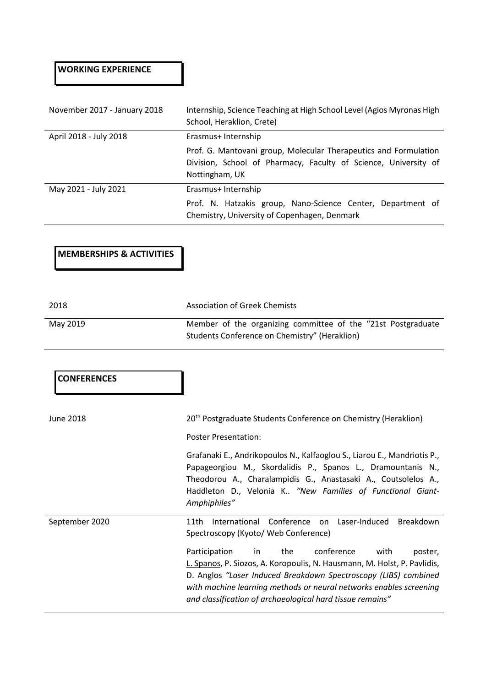## **WORKING EXPERIENCE**

| November 2017 - January 2018 | Internship, Science Teaching at High School Level (Agios Myronas High<br>School, Heraklion, Crete)                                                    |
|------------------------------|-------------------------------------------------------------------------------------------------------------------------------------------------------|
| April 2018 - July 2018       | Erasmus+ Internship                                                                                                                                   |
|                              | Prof. G. Mantovani group, Molecular Therapeutics and Formulation<br>Division, School of Pharmacy, Faculty of Science, University of<br>Nottingham, UK |
| May 2021 - July 2021         | Erasmus+ Internship                                                                                                                                   |
|                              | Prof. N. Hatzakis group, Nano-Science Center, Department of<br>Chemistry, University of Copenhagen, Denmark                                           |

### **MEMBERSHIPS & ACTIVITIES**

| 2018     | <b>Association of Greek Chemists</b>                                                                           |
|----------|----------------------------------------------------------------------------------------------------------------|
| May 2019 | Member of the organizing committee of the "21st Postgraduate"<br>Students Conference on Chemistry" (Heraklion) |

#### **CONFERENCES**

| June 2018      | 20 <sup>th</sup> Postgraduate Students Conference on Chemistry (Heraklion)<br><b>Poster Presentation:</b>                                                                                                                                                                                                                                     |
|----------------|-----------------------------------------------------------------------------------------------------------------------------------------------------------------------------------------------------------------------------------------------------------------------------------------------------------------------------------------------|
|                | Grafanaki E., Andrikopoulos N., Kalfaoglou S., Liarou E., Mandriotis P.,<br>Papageorgiou M., Skordalidis P., Spanos L., Dramountanis N.,<br>Theodorou A., Charalampidis G., Anastasaki A., Coutsolelos A.,<br>Haddleton D., Velonia K "New Families of Functional Giant-<br>Amphiphiles"                                                      |
| September 2020 | International Conference on Laser-Induced<br>Breakdown<br>11th<br>Spectroscopy (Kyoto/Web Conference)                                                                                                                                                                                                                                         |
|                | Participation<br>conference<br>in<br>the<br>with<br>poster,<br>L. Spanos, P. Siozos, A. Koropoulis, N. Hausmann, M. Holst, P. Pavlidis,<br>D. Anglos "Laser Induced Breakdown Spectroscopy (LIBS) combined<br>with machine learning methods or neural networks enables screening<br>and classification of archaeological hard tissue remains" |